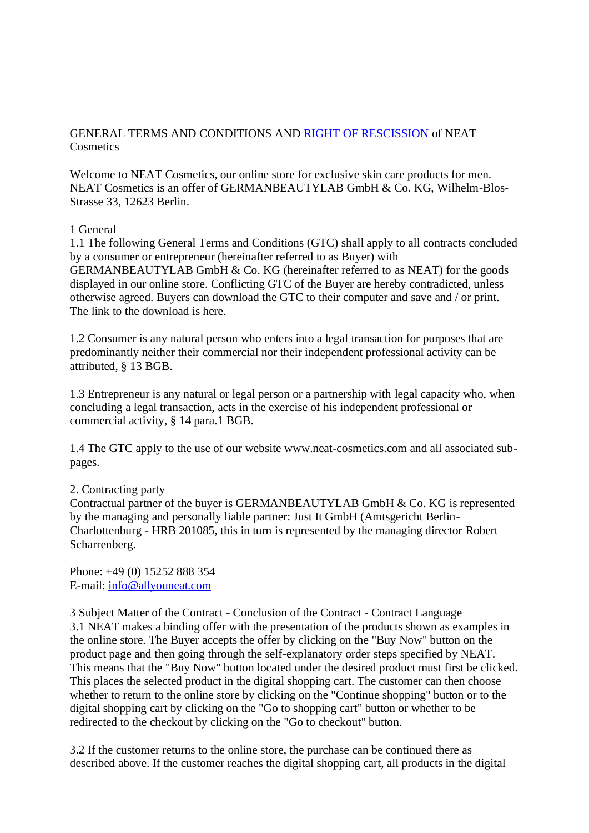# GENERAL TERMS AND CONDITIONS AND RIGHT OF RESCISSION of NEAT **Cosmetics**

Welcome to NEAT Cosmetics, our online store for exclusive skin care products for men. NEAT Cosmetics is an offer of GERMANBEAUTYLAB GmbH & Co. KG, Wilhelm-Blos-Strasse 33, 12623 Berlin.

## 1 General

1.1 The following General Terms and Conditions (GTC) shall apply to all contracts concluded by a consumer or entrepreneur (hereinafter referred to as Buyer) with GERMANBEAUTYLAB GmbH & Co. KG (hereinafter referred to as NEAT) for the goods displayed in our online store. Conflicting GTC of the Buyer are hereby contradicted, unless otherwise agreed. Buyers can download the GTC to their computer and save and / or print. The link to the download is here.

1.2 Consumer is any natural person who enters into a legal transaction for purposes that are predominantly neither their commercial nor their independent professional activity can be attributed, § 13 BGB.

1.3 Entrepreneur is any natural or legal person or a partnership with legal capacity who, when concluding a legal transaction, acts in the exercise of his independent professional or commercial activity, § 14 para.1 BGB.

1.4 The GTC apply to the use of our website www.neat-cosmetics.com and all associated subpages.

## 2. Contracting party

Contractual partner of the buyer is GERMANBEAUTYLAB GmbH & Co. KG is represented by the managing and personally liable partner: Just It GmbH (Amtsgericht Berlin-Charlottenburg - HRB 201085, this in turn is represented by the managing director Robert Scharrenberg.

Phone: +49 (0) 15252 888 354 E-mail: [info@allyouneat.com](mailto:info@allyouneat.com)

3 Subject Matter of the Contract - Conclusion of the Contract - Contract Language 3.1 NEAT makes a binding offer with the presentation of the products shown as examples in the online store. The Buyer accepts the offer by clicking on the "Buy Now" button on the product page and then going through the self-explanatory order steps specified by NEAT. This means that the "Buy Now" button located under the desired product must first be clicked. This places the selected product in the digital shopping cart. The customer can then choose whether to return to the online store by clicking on the "Continue shopping" button or to the digital shopping cart by clicking on the "Go to shopping cart" button or whether to be redirected to the checkout by clicking on the "Go to checkout" button.

3.2 If the customer returns to the online store, the purchase can be continued there as described above. If the customer reaches the digital shopping cart, all products in the digital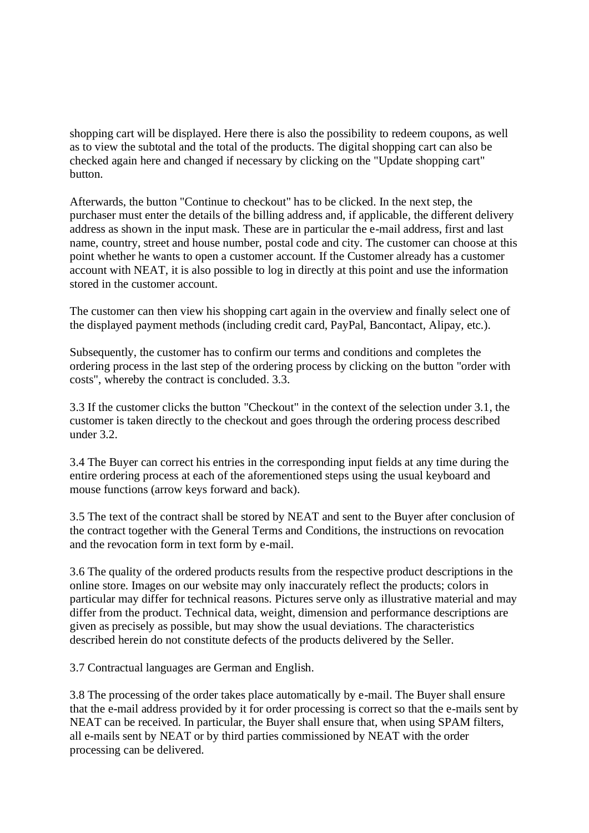shopping cart will be displayed. Here there is also the possibility to redeem coupons, as well as to view the subtotal and the total of the products. The digital shopping cart can also be checked again here and changed if necessary by clicking on the "Update shopping cart" button.

Afterwards, the button "Continue to checkout" has to be clicked. In the next step, the purchaser must enter the details of the billing address and, if applicable, the different delivery address as shown in the input mask. These are in particular the e-mail address, first and last name, country, street and house number, postal code and city. The customer can choose at this point whether he wants to open a customer account. If the Customer already has a customer account with NEAT, it is also possible to log in directly at this point and use the information stored in the customer account.

The customer can then view his shopping cart again in the overview and finally select one of the displayed payment methods (including credit card, PayPal, Bancontact, Alipay, etc.).

Subsequently, the customer has to confirm our terms and conditions and completes the ordering process in the last step of the ordering process by clicking on the button "order with costs", whereby the contract is concluded. 3.3.

3.3 If the customer clicks the button "Checkout" in the context of the selection under 3.1, the customer is taken directly to the checkout and goes through the ordering process described under 3.2.

3.4 The Buyer can correct his entries in the corresponding input fields at any time during the entire ordering process at each of the aforementioned steps using the usual keyboard and mouse functions (arrow keys forward and back).

3.5 The text of the contract shall be stored by NEAT and sent to the Buyer after conclusion of the contract together with the General Terms and Conditions, the instructions on revocation and the revocation form in text form by e-mail.

3.6 The quality of the ordered products results from the respective product descriptions in the online store. Images on our website may only inaccurately reflect the products; colors in particular may differ for technical reasons. Pictures serve only as illustrative material and may differ from the product. Technical data, weight, dimension and performance descriptions are given as precisely as possible, but may show the usual deviations. The characteristics described herein do not constitute defects of the products delivered by the Seller.

3.7 Contractual languages are German and English.

3.8 The processing of the order takes place automatically by e-mail. The Buyer shall ensure that the e-mail address provided by it for order processing is correct so that the e-mails sent by NEAT can be received. In particular, the Buyer shall ensure that, when using SPAM filters, all e-mails sent by NEAT or by third parties commissioned by NEAT with the order processing can be delivered.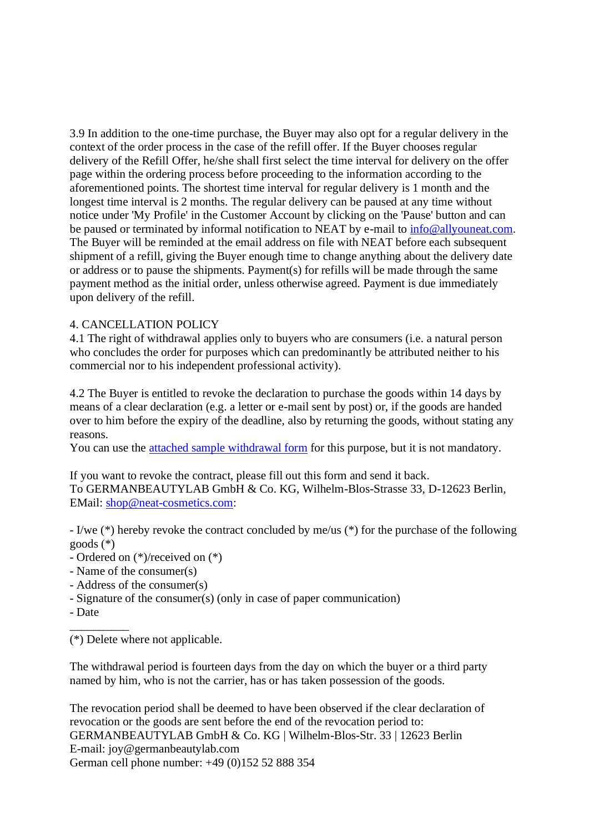3.9 In addition to the one-time purchase, the Buyer may also opt for a regular delivery in the context of the order process in the case of the refill offer. If the Buyer chooses regular delivery of the Refill Offer, he/she shall first select the time interval for delivery on the offer page within the ordering process before proceeding to the information according to the aforementioned points. The shortest time interval for regular delivery is 1 month and the longest time interval is 2 months. The regular delivery can be paused at any time without notice under 'My Profile' in the Customer Account by clicking on the 'Pause' button and can be paused or terminated by informal notification to NEAT by e-mail to [info@allyouneat.com.](mailto:info@allyouneat.com) The Buyer will be reminded at the email address on file with NEAT before each subsequent shipment of a refill, giving the Buyer enough time to change anything about the delivery date or address or to pause the shipments. Payment(s) for refills will be made through the same payment method as the initial order, unless otherwise agreed. Payment is due immediately upon delivery of the refill.

## 4. CANCELLATION POLICY

4.1 The right of withdrawal applies only to buyers who are consumers (i.e. a natural person who concludes the order for purposes which can predominantly be attributed neither to his commercial nor to his independent professional activity).

4.2 The Buyer is entitled to revoke the declaration to purchase the goods within 14 days by means of a clear declaration (e.g. a letter or e-mail sent by post) or, if the goods are handed over to him before the expiry of the deadline, also by returning the goods, without stating any reasons.

You can use the [attached sample withdrawal form](https://www.neat-cosmetics.com/sample-revocation-form/) for this purpose, but it is not mandatory.

If you want to revoke the contract, please fill out this form and send it back. To GERMANBEAUTYLAB GmbH & Co. KG, Wilhelm-Blos-Strasse 33, D-12623 Berlin, EMail: [shop@neat-cosmetics.com:](mailto:shop@neat-cosmetics.com)

- I/we (\*) hereby revoke the contract concluded by me/us (\*) for the purchase of the following goods (\*)

- Ordered on (\*)/received on (\*)

- Name of the consumer(s)
- Address of the consumer(s)
- Signature of the consumer(s) (only in case of paper communication)
- Date

 $\overline{\phantom{a}}$  , where  $\overline{\phantom{a}}$ 

(\*) Delete where not applicable.

The withdrawal period is fourteen days from the day on which the buyer or a third party named by him, who is not the carrier, has or has taken possession of the goods.

The revocation period shall be deemed to have been observed if the clear declaration of revocation or the goods are sent before the end of the revocation period to: GERMANBEAUTYLAB GmbH & Co. KG | Wilhelm-Blos-Str. 33 | 12623 Berlin E-mail: joy@germanbeautylab.com German cell phone number: +49 (0)152 52 888 354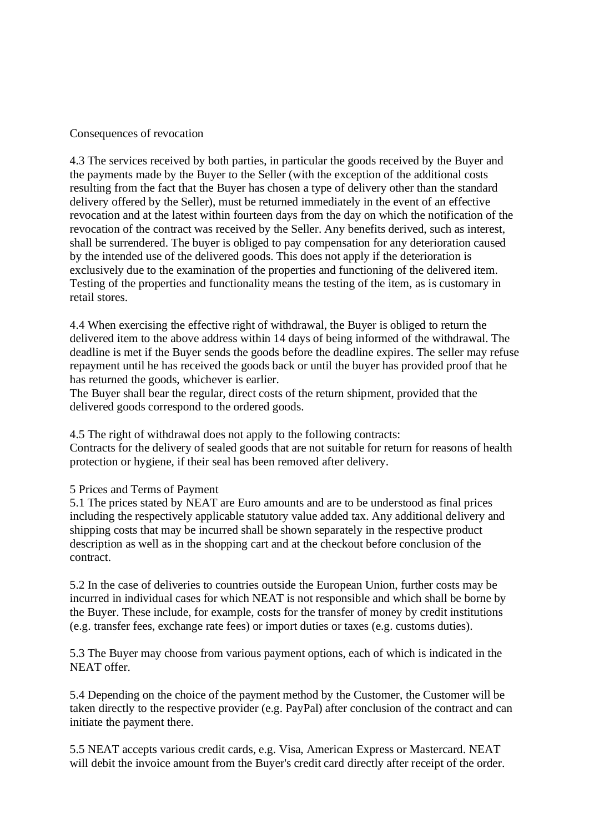## Consequences of revocation

4.3 The services received by both parties, in particular the goods received by the Buyer and the payments made by the Buyer to the Seller (with the exception of the additional costs resulting from the fact that the Buyer has chosen a type of delivery other than the standard delivery offered by the Seller), must be returned immediately in the event of an effective revocation and at the latest within fourteen days from the day on which the notification of the revocation of the contract was received by the Seller. Any benefits derived, such as interest, shall be surrendered. The buyer is obliged to pay compensation for any deterioration caused by the intended use of the delivered goods. This does not apply if the deterioration is exclusively due to the examination of the properties and functioning of the delivered item. Testing of the properties and functionality means the testing of the item, as is customary in retail stores.

4.4 When exercising the effective right of withdrawal, the Buyer is obliged to return the delivered item to the above address within 14 days of being informed of the withdrawal. The deadline is met if the Buyer sends the goods before the deadline expires. The seller may refuse repayment until he has received the goods back or until the buyer has provided proof that he has returned the goods, whichever is earlier.

The Buyer shall bear the regular, direct costs of the return shipment, provided that the delivered goods correspond to the ordered goods.

4.5 The right of withdrawal does not apply to the following contracts:

Contracts for the delivery of sealed goods that are not suitable for return for reasons of health protection or hygiene, if their seal has been removed after delivery.

## 5 Prices and Terms of Payment

5.1 The prices stated by NEAT are Euro amounts and are to be understood as final prices including the respectively applicable statutory value added tax. Any additional delivery and shipping costs that may be incurred shall be shown separately in the respective product description as well as in the shopping cart and at the checkout before conclusion of the contract.

5.2 In the case of deliveries to countries outside the European Union, further costs may be incurred in individual cases for which NEAT is not responsible and which shall be borne by the Buyer. These include, for example, costs for the transfer of money by credit institutions (e.g. transfer fees, exchange rate fees) or import duties or taxes (e.g. customs duties).

5.3 The Buyer may choose from various payment options, each of which is indicated in the NEAT offer.

5.4 Depending on the choice of the payment method by the Customer, the Customer will be taken directly to the respective provider (e.g. PayPal) after conclusion of the contract and can initiate the payment there.

5.5 NEAT accepts various credit cards, e.g. Visa, American Express or Mastercard. NEAT will debit the invoice amount from the Buyer's credit card directly after receipt of the order.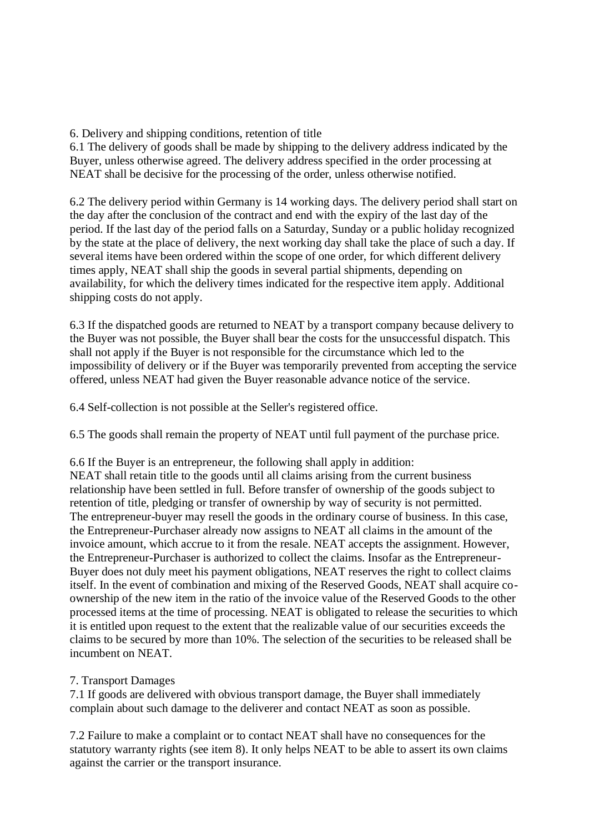6. Delivery and shipping conditions, retention of title

6.1 The delivery of goods shall be made by shipping to the delivery address indicated by the Buyer, unless otherwise agreed. The delivery address specified in the order processing at NEAT shall be decisive for the processing of the order, unless otherwise notified.

6.2 The delivery period within Germany is 14 working days. The delivery period shall start on the day after the conclusion of the contract and end with the expiry of the last day of the period. If the last day of the period falls on a Saturday, Sunday or a public holiday recognized by the state at the place of delivery, the next working day shall take the place of such a day. If several items have been ordered within the scope of one order, for which different delivery times apply, NEAT shall ship the goods in several partial shipments, depending on availability, for which the delivery times indicated for the respective item apply. Additional shipping costs do not apply.

6.3 If the dispatched goods are returned to NEAT by a transport company because delivery to the Buyer was not possible, the Buyer shall bear the costs for the unsuccessful dispatch. This shall not apply if the Buyer is not responsible for the circumstance which led to the impossibility of delivery or if the Buyer was temporarily prevented from accepting the service offered, unless NEAT had given the Buyer reasonable advance notice of the service.

6.4 Self-collection is not possible at the Seller's registered office.

6.5 The goods shall remain the property of NEAT until full payment of the purchase price.

6.6 If the Buyer is an entrepreneur, the following shall apply in addition: NEAT shall retain title to the goods until all claims arising from the current business relationship have been settled in full. Before transfer of ownership of the goods subject to retention of title, pledging or transfer of ownership by way of security is not permitted. The entrepreneur-buyer may resell the goods in the ordinary course of business. In this case, the Entrepreneur-Purchaser already now assigns to NEAT all claims in the amount of the invoice amount, which accrue to it from the resale. NEAT accepts the assignment. However, the Entrepreneur-Purchaser is authorized to collect the claims. Insofar as the Entrepreneur-Buyer does not duly meet his payment obligations, NEAT reserves the right to collect claims itself. In the event of combination and mixing of the Reserved Goods, NEAT shall acquire coownership of the new item in the ratio of the invoice value of the Reserved Goods to the other processed items at the time of processing. NEAT is obligated to release the securities to which it is entitled upon request to the extent that the realizable value of our securities exceeds the claims to be secured by more than 10%. The selection of the securities to be released shall be incumbent on NEAT.

# 7. Transport Damages

7.1 If goods are delivered with obvious transport damage, the Buyer shall immediately complain about such damage to the deliverer and contact NEAT as soon as possible.

7.2 Failure to make a complaint or to contact NEAT shall have no consequences for the statutory warranty rights (see item 8). It only helps NEAT to be able to assert its own claims against the carrier or the transport insurance.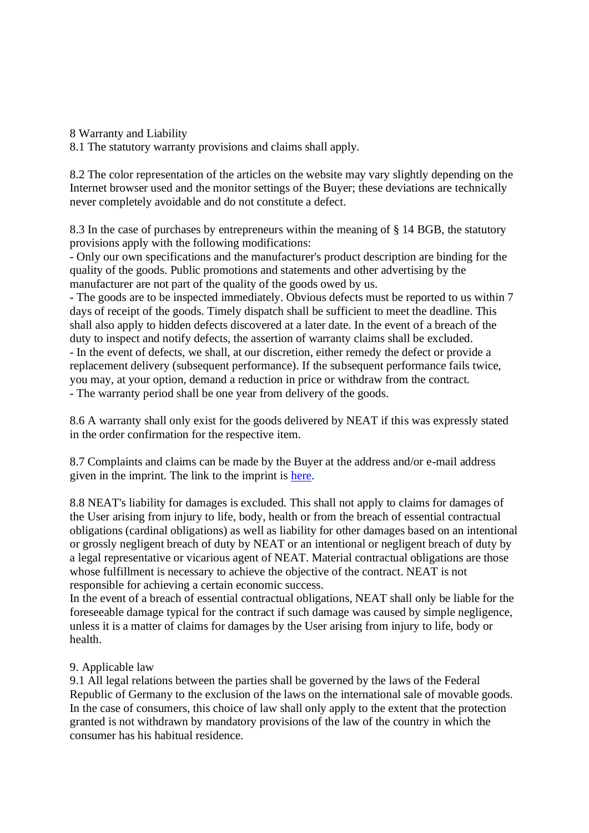8 Warranty and Liability

8.1 The statutory warranty provisions and claims shall apply.

8.2 The color representation of the articles on the website may vary slightly depending on the Internet browser used and the monitor settings of the Buyer; these deviations are technically never completely avoidable and do not constitute a defect.

8.3 In the case of purchases by entrepreneurs within the meaning of § 14 BGB, the statutory provisions apply with the following modifications:

- Only our own specifications and the manufacturer's product description are binding for the quality of the goods. Public promotions and statements and other advertising by the manufacturer are not part of the quality of the goods owed by us.

- The goods are to be inspected immediately. Obvious defects must be reported to us within 7 days of receipt of the goods. Timely dispatch shall be sufficient to meet the deadline. This shall also apply to hidden defects discovered at a later date. In the event of a breach of the duty to inspect and notify defects, the assertion of warranty claims shall be excluded. - In the event of defects, we shall, at our discretion, either remedy the defect or provide a replacement delivery (subsequent performance). If the subsequent performance fails twice, you may, at your option, demand a reduction in price or withdraw from the contract. - The warranty period shall be one year from delivery of the goods.

8.6 A warranty shall only exist for the goods delivered by NEAT if this was expressly stated in the order confirmation for the respective item.

8.7 Complaints and claims can be made by the Buyer at the address and/or e-mail address given in the imprint. The link to the imprint is [here.](https://www.neat-cosmetics.com/imprint/)

8.8 NEAT's liability for damages is excluded. This shall not apply to claims for damages of the User arising from injury to life, body, health or from the breach of essential contractual obligations (cardinal obligations) as well as liability for other damages based on an intentional or grossly negligent breach of duty by NEAT or an intentional or negligent breach of duty by a legal representative or vicarious agent of NEAT. Material contractual obligations are those whose fulfillment is necessary to achieve the objective of the contract. NEAT is not responsible for achieving a certain economic success.

In the event of a breach of essential contractual obligations, NEAT shall only be liable for the foreseeable damage typical for the contract if such damage was caused by simple negligence, unless it is a matter of claims for damages by the User arising from injury to life, body or health.

## 9. Applicable law

9.1 All legal relations between the parties shall be governed by the laws of the Federal Republic of Germany to the exclusion of the laws on the international sale of movable goods. In the case of consumers, this choice of law shall only apply to the extent that the protection granted is not withdrawn by mandatory provisions of the law of the country in which the consumer has his habitual residence.